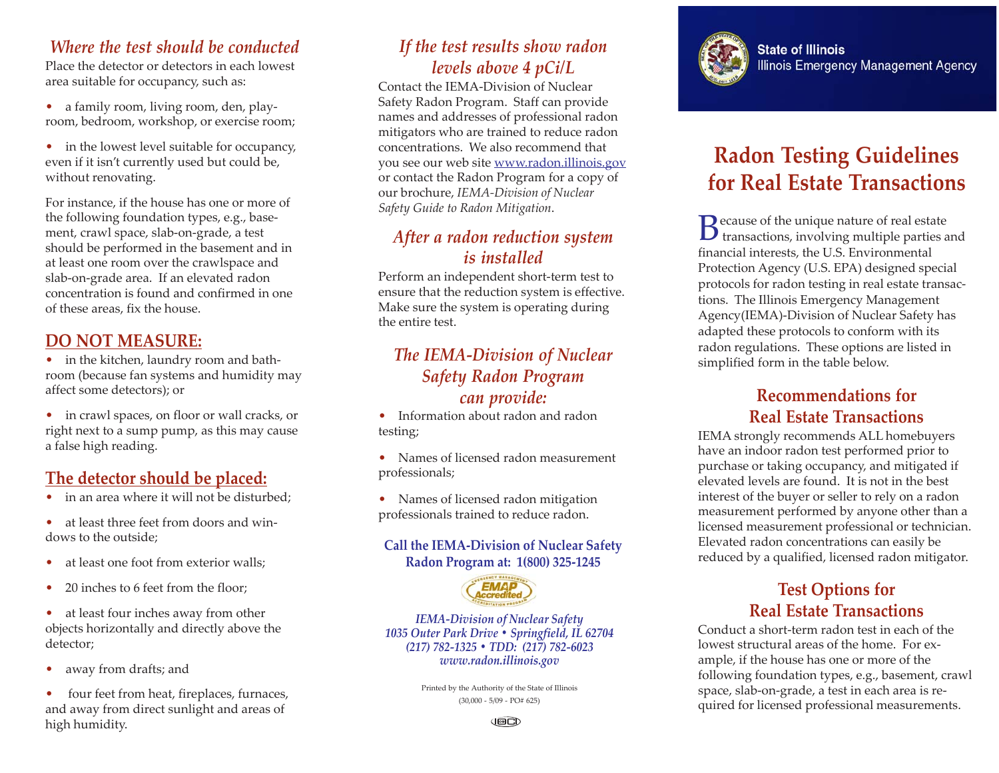#### *Where the test should be conducted*

Place the detector or detectors in each lowest area suitable for occupancy, such as:

- a family room, living room, den, playroom, bedroom, workshop, or exercise room;
- in the lowest level suitable for occupancy, even if it isn't currently used but could be, without renovating.

For instance, if the house has one or more of the following foundation types, e.g., basement, crawl space, slab-on-grade, a test should be performed in the basement and in at least one room over the crawlspace and slab-on-grade area. If an elevated radon concentration is found and confirmed in one of these areas, fix the house.

#### **DO NOT MEASURE:**

• in the kitchen, laundry room and bathroom (because fan systems and humidity may affect some detectors); or

• in crawl spaces, on floor or wall cracks, or right next to a sump pump, as this may cause a false high reading.

## **The detector should be placed:**

- in an area where it will not be disturbed:
- at least three feet from doors and windows to the outside;
- at least one foot from exterior walls:
- 20 inches to 6 feet from the floor:
- at least four inches away from other objects horizontally and directly above the detector;
- away from drafts; and

• four feet from heat, fireplaces, furnaces, and away from direct sunlight and areas of high humidity.

## *If the test results show radon levels above 4 pCi/L*

Contact the IEMA-Division of Nuclear Safety Radon Program. Staff can provide names and addresses of professional radon mitigators who are trained to reduce radon concentrations. We also recommend that you see our web site www.radon.illinois.gov or contact the Radon Program for a copy of our brochure, *IEMA-Division of Nuclear Safety Guide to Radon Mitigation*.

### *After a radon reduction system is installed*

Perform an independent short-term test to ensure that the reduction system is effective. Make sure the system is operating during the entire test.

#### *The IEMA-Division of Nuclear Safety Radon Program can provide:*

• Information about radon and radon testing;

• Names of licensed radon measurement professionals;

• Names of licensed radon mitigation professionals trained to reduce radon.

#### **Call the IEMA-Division of Nuclear Safety Radon Program at: 1(800) 325-1245**



*IEMA-Division of Nuclear Safety 1035 Outer Park Drive • Springfield, IL 62704 (217) 782-1325 • TDD: (217) 782-6023 www.radon.illinois.gov*

> Printed by the Authority of the State of Illinois (30,000 - 5/09 - PO# 625)



# **Radon Testing Guidelines for Real Estate Transactions**

Because of the unique nature of real estate<br>transactions, involving multiple parties and financial interests, the U.S. Environmental Protection Agency (U.S. EPA) designed special protocols for radon testing in real estate transactions. The Illinois Emergency Management Agency(IEMA)-Division of Nuclear Safety has adapted these protocols to conform with its radon regulations. These options are listed in simplified form in the table below.

#### **Recommendations for Real Estate Transactions**

IEMA strongly recommends ALL homebuyers have an indoor radon test performed prior to purchase or taking occupancy, and mitigated if elevated levels are found. It is not in the best interest of the buyer or seller to rely on a radon measurement performed by anyone other than a licensed measurement professional or technician. Elevated radon concentrations can easily be reduced by a qualified, licensed radon mitigator.

#### **Test Options for Real Estate Transactions**

Conduct a short-term radon test in each of the lowest structural areas of the home. For example, if the house has one or more of the following foundation types, e.g., basement, crawl space, slab-on-grade, a test in each area is required for licensed professional measurements.

J⊠C)